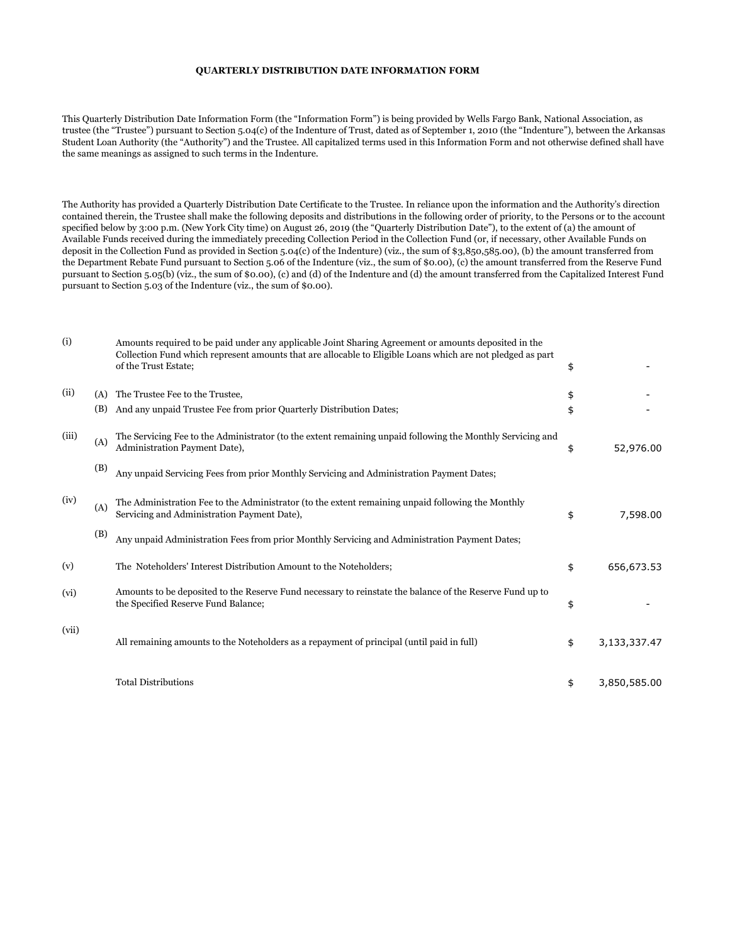## **QUARTERLY DISTRIBUTION DATE INFORMATION FORM**

This Quarterly Distribution Date Information Form (the "Information Form") is being provided by Wells Fargo Bank, National Association, as trustee (the "Trustee") pursuant to Section 5.04(c) of the Indenture of Trust, dated as of September 1, 2010 (the "Indenture"), between the Arkansas Student Loan Authority (the "Authority") and the Trustee. All capitalized terms used in this Information Form and not otherwise defined shall have the same meanings as assigned to such terms in the Indenture.

The Authority has provided a Quarterly Distribution Date Certificate to the Trustee. In reliance upon the information and the Authority's direction contained therein, the Trustee shall make the following deposits and distributions in the following order of priority, to the Persons or to the account specified below by 3:00 p.m. (New York City time) on August 26, 2019 (the "Quarterly Distribution Date"), to the extent of (a) the amount of Available Funds received during the immediately preceding Collection Period in the Collection Fund (or, if necessary, other Available Funds on deposit in the Collection Fund as provided in Section 5.04(c) of the Indenture) (viz., the sum of \$3,850,585.00), (b) the amount transferred from the Department Rebate Fund pursuant to Section 5.06 of the Indenture (viz., the sum of \$0.00), (c) the amount transferred from the Reserve Fund pursuant to Section 5.05(b) (viz., the sum of \$0.00), (c) and (d) of the Indenture and (d) the amount transferred from the Capitalized Interest Fund pursuant to Section 5.03 of the Indenture (viz., the sum of \$0.00).

| (i)   |            | Amounts required to be paid under any applicable Joint Sharing Agreement or amounts deposited in the<br>Collection Fund which represent amounts that are allocable to Eligible Loans which are not pledged as part<br>of the Trust Estate; | \$       |              |
|-------|------------|--------------------------------------------------------------------------------------------------------------------------------------------------------------------------------------------------------------------------------------------|----------|--------------|
| (ii)  | (A)<br>(B) | The Trustee Fee to the Trustee,<br>And any unpaid Trustee Fee from prior Quarterly Distribution Dates;                                                                                                                                     | \$<br>\$ |              |
| (iii) | (A)        | The Servicing Fee to the Administrator (to the extent remaining unpaid following the Monthly Servicing and<br>Administration Payment Date),                                                                                                | \$       | 52,976.00    |
|       | (B)        | Any unpaid Servicing Fees from prior Monthly Servicing and Administration Payment Dates;                                                                                                                                                   |          |              |
| (iv)  | (A)        | The Administration Fee to the Administrator (to the extent remaining unpaid following the Monthly<br>Servicing and Administration Payment Date),                                                                                           | \$       | 7,598.00     |
|       | (B)        | Any unpaid Administration Fees from prior Monthly Servicing and Administration Payment Dates;                                                                                                                                              |          |              |
| (v)   |            | The Noteholders' Interest Distribution Amount to the Noteholders;                                                                                                                                                                          | \$       | 656,673.53   |
| (vi)  |            | Amounts to be deposited to the Reserve Fund necessary to reinstate the balance of the Reserve Fund up to<br>the Specified Reserve Fund Balance;                                                                                            | \$       |              |
| (vii) |            | All remaining amounts to the Noteholders as a repayment of principal (until paid in full)                                                                                                                                                  | \$       | 3,133,337.47 |
|       |            | <b>Total Distributions</b>                                                                                                                                                                                                                 | \$       | 3,850,585.00 |